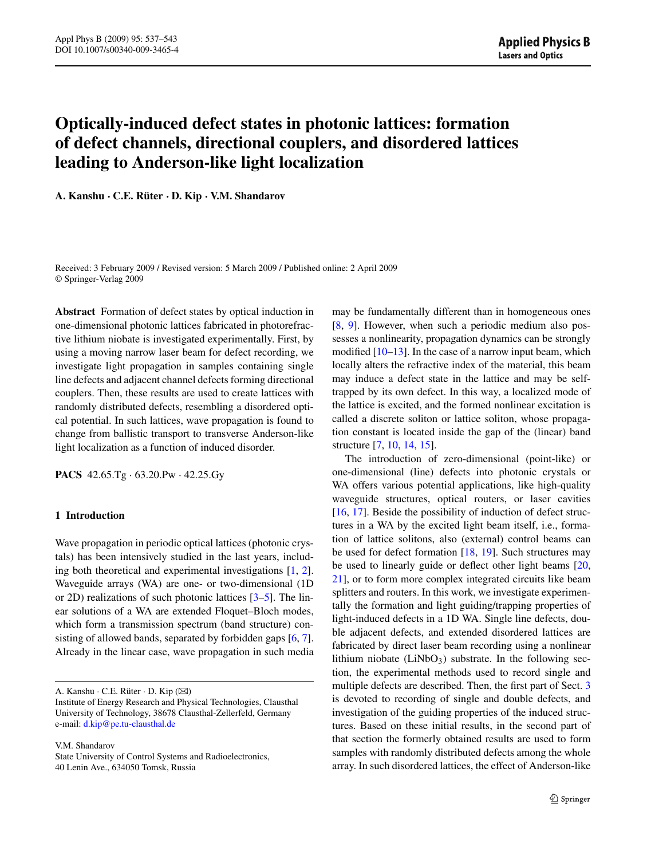# **Optically-induced defect states in photonic lattices: formation of defect channels, directional couplers, and disordered lattices leading to Anderson-like light localization**

**A. Kanshu · C.E. Rüter · D. Kip · V.M. Shandarov**

Received: 3 February 2009 / Revised version: 5 March 2009 / Published online: 2 April 2009 © Springer-Verlag 2009

**Abstract** Formation of defect states by optical induction in one-dimensional photonic lattices fabricated in photorefractive lithium niobate is investigated experimentally. First, by using a moving narrow laser beam for defect recording, we investigate light propagation in samples containing single line defects and adjacent channel defects forming directional couplers. Then, these results are used to create lattices with randomly distributed defects, resembling a disordered optical potential. In such lattices, wave propagation is found to change from ballistic transport to transverse Anderson-like light localization as a function of induced disorder.

**PACS** 42.65.Tg · 63.20.Pw · 42.25.Gy

## **1 Introduction**

Wave propagation in periodic optical lattices (photonic crystals) has been intensively studied in the last years, including both theoretical and experimental investigations [\[1](#page-6-0), [2](#page-6-0)]. Waveguide arrays (WA) are one- or two-dimensional (1D or 2D) realizations of such photonic lattices  $[3-5]$ . The linear solutions of a WA are extended Floquet–Bloch modes, which form a transmission spectrum (band structure) consisting of allowed bands, separated by forbidden gaps [\[6](#page-6-0), [7](#page-6-0)]. Already in the linear case, wave propagation in such media

A. Kanshu · C.E. Rüter · D. Kip (⊠)

V.M. Shandarov State University of Control Systems and Radioelectronics, 40 Lenin Ave., 634050 Tomsk, Russia

may be fundamentally different than in homogeneous ones [\[8](#page-6-0), [9\]](#page-6-0). However, when such a periodic medium also possesses a nonlinearity, propagation dynamics can be strongly modified  $[10-13]$ . In the case of a narrow input beam, which locally alters the refractive index of the material, this beam may induce a defect state in the lattice and may be selftrapped by its own defect. In this way, a localized mode of the lattice is excited, and the formed nonlinear excitation is called a discrete soliton or lattice soliton, whose propagation constant is located inside the gap of the (linear) band structure [[7,](#page-6-0) [10](#page-6-0), [14](#page-6-0), [15](#page-6-0)].

The introduction of zero-dimensional (point-like) or one-dimensional (line) defects into photonic crystals or WA offers various potential applications, like high-quality waveguide structures, optical routers, or laser cavities [\[16](#page-6-0), [17](#page-6-0)]. Beside the possibility of induction of defect structures in a WA by the excited light beam itself, i.e., formation of lattice solitons, also (external) control beams can be used for defect formation [[18,](#page-6-0) [19](#page-6-0)]. Such structures may be used to linearly guide or deflect other light beams [[20](#page-6-0), [21\]](#page-6-0), or to form more complex integrated circuits like beam splitters and routers. In this work, we investigate experimentally the formation and light guiding/trapping properties of light-induced defects in a 1D WA. Single line defects, double adjacent defects, and extended disordered lattices are fabricated by direct laser beam recording using a nonlinear lithium niobate  $(LiNbO<sub>3</sub>)$  substrate. In the following section, the experimental methods used to record single and multiple defects are described. Then, the first part of Sect. [3](#page-1-0) is devoted to recording of single and double defects, and investigation of the guiding properties of the induced structures. Based on these initial results, in the second part of that section the formerly obtained results are used to form samples with randomly distributed defects among the whole array. In such disordered lattices, the effect of Anderson-like

Institute of Energy Research and Physical Technologies, Clausthal University of Technology, 38678 Clausthal-Zellerfeld, Germany e-mail: [d.kip@pe.tu-clausthal.de](mailto:d.kip@pe.tu-clausthal.de)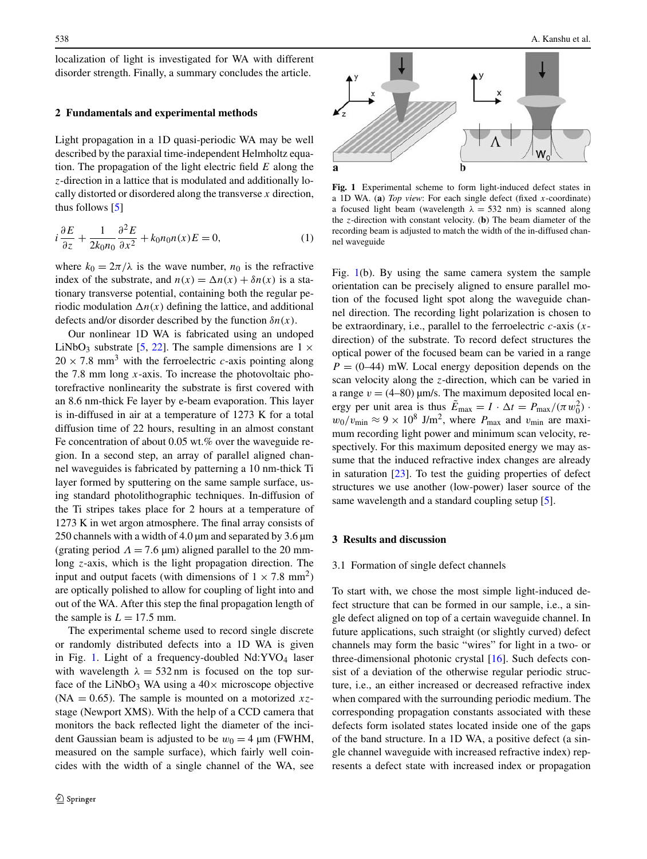<span id="page-1-0"></span>localization of light is investigated for WA with different disorder strength. Finally, a summary concludes the article.

## **2 Fundamentals and experimental methods**

Light propagation in a 1D quasi-periodic WA may be well described by the paraxial time-independent Helmholtz equation. The propagation of the light electric field *E* along the *z*-direction in a lattice that is modulated and additionally locally distorted or disordered along the transverse *x* direction, thus follows [\[5](#page-6-0)]

$$
i\frac{\partial E}{\partial z} + \frac{1}{2k_0 n_0} \frac{\partial^2 E}{\partial x^2} + k_0 n_0 n(x) E = 0,
$$
 (1)

where  $k_0 = 2\pi/\lambda$  is the wave number,  $n_0$  is the refractive index of the substrate, and  $n(x) = \Delta n(x) + \delta n(x)$  is a stationary transverse potential, containing both the regular periodic modulation  $\Delta n(x)$  defining the lattice, and additional defects and/or disorder described by the function *δn(x)*.

Our nonlinear 1D WA is fabricated using an undoped LiNbO<sub>3</sub> substrate [[5,](#page-6-0) [22\]](#page-6-0). The sample dimensions are  $1 \times$  $20 \times 7.8$  mm<sup>3</sup> with the ferroelectric *c*-axis pointing along the 7.8 mm long *x*-axis. To increase the photovoltaic photorefractive nonlinearity the substrate is first covered with an 8.6 nm-thick Fe layer by e-beam evaporation. This layer is in-diffused in air at a temperature of 1273 K for a total diffusion time of 22 hours, resulting in an almost constant Fe concentration of about 0.05 wt.% over the waveguide region. In a second step, an array of parallel aligned channel waveguides is fabricated by patterning a 10 nm-thick Ti layer formed by sputtering on the same sample surface, using standard photolithographic techniques. In-diffusion of the Ti stripes takes place for 2 hours at a temperature of 1273 K in wet argon atmosphere. The final array consists of 250 channels with a width of 4.0 µm and separated by 3.6 µm (grating period  $\Lambda = 7.6$  µm) aligned parallel to the 20 mmlong *z*-axis, which is the light propagation direction. The input and output facets (with dimensions of  $1 \times 7.8$  mm<sup>2</sup>) are optically polished to allow for coupling of light into and out of the WA. After this step the final propagation length of the sample is  $L = 17.5$  mm.

The experimental scheme used to record single discrete or randomly distributed defects into a 1D WA is given in Fig. 1. Light of a frequency-doubled  $Nd:YVO<sub>4</sub>$  laser with wavelength  $\lambda = 532$  nm is focused on the top surface of the LiNbO<sub>3</sub> WA using a  $40\times$  microscope objective (NA = 0.65). The sample is mounted on a motorized  $xz$ stage (Newport XMS). With the help of a CCD camera that monitors the back reflected light the diameter of the incident Gaussian beam is adjusted to be  $w_0 = 4 \mu m$  (FWHM, measured on the sample surface), which fairly well coincides with the width of a single channel of the WA, see



**Fig. 1** Experimental scheme to form light-induced defect states in a 1D WA. (**a**) *Top view*: For each single defect (fixed *x*-coordinate) a focused light beam (wavelength  $\lambda = 532$  nm) is scanned along the *z*-direction with constant velocity. (**b**) The beam diameter of the recording beam is adjusted to match the width of the in-diffused channel waveguide

Fig. 1(b). By using the same camera system the sample orientation can be precisely aligned to ensure parallel motion of the focused light spot along the waveguide channel direction. The recording light polarization is chosen to be extraordinary, i.e., parallel to the ferroelectric *c*-axis (*x*direction) of the substrate. To record defect structures the optical power of the focused beam can be varied in a range  $P = (0-44)$  mW. Local energy deposition depends on the scan velocity along the *z*-direction, which can be varied in a range  $v = (4–80)$  µm/s. The maximum deposited local energy per unit area is thus  $\tilde{E}_{\text{max}} = I \cdot \Delta t = P_{\text{max}}/(\pi w_0^2)$ .  $w_0/v_{\text{min}} \approx 9 \times 10^8$  J/m<sup>2</sup>, where  $P_{\text{max}}$  and  $v_{\text{min}}$  are maximum recording light power and minimum scan velocity, respectively. For this maximum deposited energy we may assume that the induced refractive index changes are already in saturation  $[23]$  $[23]$  $[23]$ . To test the guiding properties of defect structures we use another (low-power) laser source of the same wavelength and a standard coupling setup [\[5](#page-6-0)].

## **3 Results and discussion**

#### 3.1 Formation of single defect channels

To start with, we chose the most simple light-induced defect structure that can be formed in our sample, i.e., a single defect aligned on top of a certain waveguide channel. In future applications, such straight (or slightly curved) defect channels may form the basic "wires" for light in a two- or three-dimensional photonic crystal [\[16](#page-6-0)]. Such defects consist of a deviation of the otherwise regular periodic structure, i.e., an either increased or decreased refractive index when compared with the surrounding periodic medium. The corresponding propagation constants associated with these defects form isolated states located inside one of the gaps of the band structure. In a 1D WA, a positive defect (a single channel waveguide with increased refractive index) represents a defect state with increased index or propagation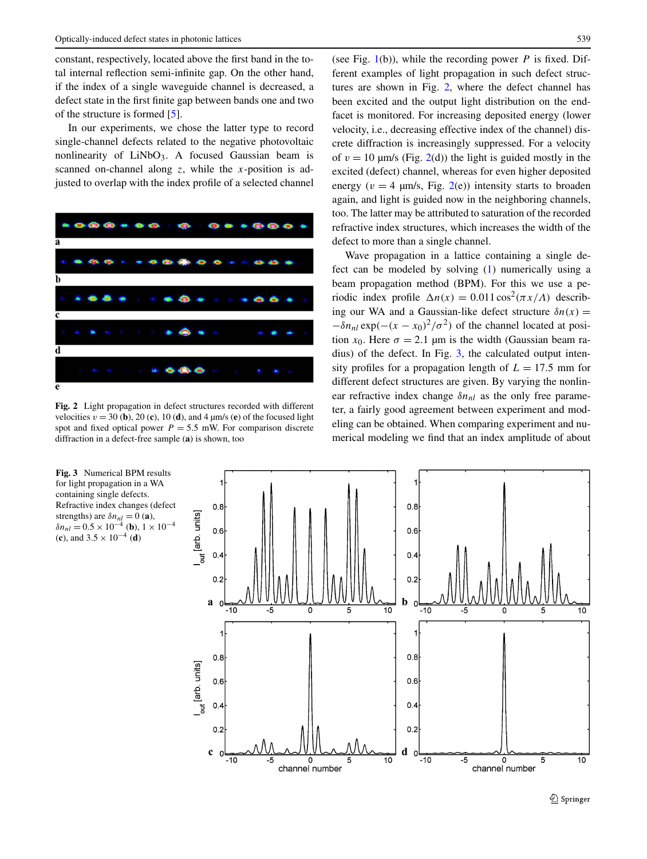<span id="page-2-0"></span>constant, respectively, located above the first band in the total internal reflection semi-infinite gap. On the other hand, if the index of a single waveguide channel is decreased, a defect state in the first finite gap between bands one and two of the structure is formed [\[5](#page-6-0)].

In our experiments, we chose the latter type to record single-channel defects related to the negative photovoltaic nonlinearity of  $LiNbO<sub>3</sub>$ . A focused Gaussian beam is scanned on-channel along *z*, while the *x*-position is adjusted to overlap with the index profile of a selected channel



**Fig. 2** Light propagation in defect structures recorded with different velocities  $v = 30$  (**b**), 20 (**c**), 10 (**d**), and 4  $\mu$ m/s (**e**) of the focused light spot and fixed optical power  $P = 5.5$  mW. For comparison discrete diffraction in a defect-free sample (**a**) is shown, too

**Fig. 3** Numerical BPM results for light propagation in a WA containing single defects. Refractive index changes (defect strengths) are  $\delta n_{nl} = 0$  (**a**),  $\delta n_{nl} = 0.5 \times 10^{-4}$  (**b**),  $1 \times 10^{-4}$  $(\mathbf{c})$ , and 3.5 × 10<sup>-4</sup> (**d**)

(see Fig.  $1(b)$  $1(b)$ ), while the recording power *P* is fixed. Different examples of light propagation in such defect structures are shown in Fig. 2, where the defect channel has been excited and the output light distribution on the endfacet is monitored. For increasing deposited energy (lower velocity, i.e., decreasing effective index of the channel) discrete diffraction is increasingly suppressed. For a velocity of  $v = 10$  µm/s (Fig. 2(d)) the light is guided mostly in the excited (defect) channel, whereas for even higher deposited energy ( $v = 4$  µm/s, Fig. 2(e)) intensity starts to broaden again, and light is guided now in the neighboring channels, too. The latter may be attributed to saturation of the recorded refractive index structures, which increases the width of the defect to more than a single channel.

Wave propagation in a lattice containing a single defect can be modeled by solving [\(1](#page-1-0)) numerically using a beam propagation method (BPM). For this we use a periodic index profile  $\Delta n(x) = 0.011 \cos^2(\pi x/\Lambda)$  describing our WA and a Gaussian-like defect structure  $\delta n(x)$  =  $-\delta n_{nl} \exp(-(x-x_0)^2/\sigma^2)$  of the channel located at position  $x_0$ . Here  $\sigma = 2.1$  µm is the width (Gaussian beam radius) of the defect. In Fig. 3, the calculated output intensity profiles for a propagation length of  $L = 17.5$  mm for different defect structures are given. By varying the nonlinear refractive index change *δnnl* as the only free parameter, a fairly good agreement between experiment and modeling can be obtained. When comparing experiment and numerical modeling we find that an index amplitude of about

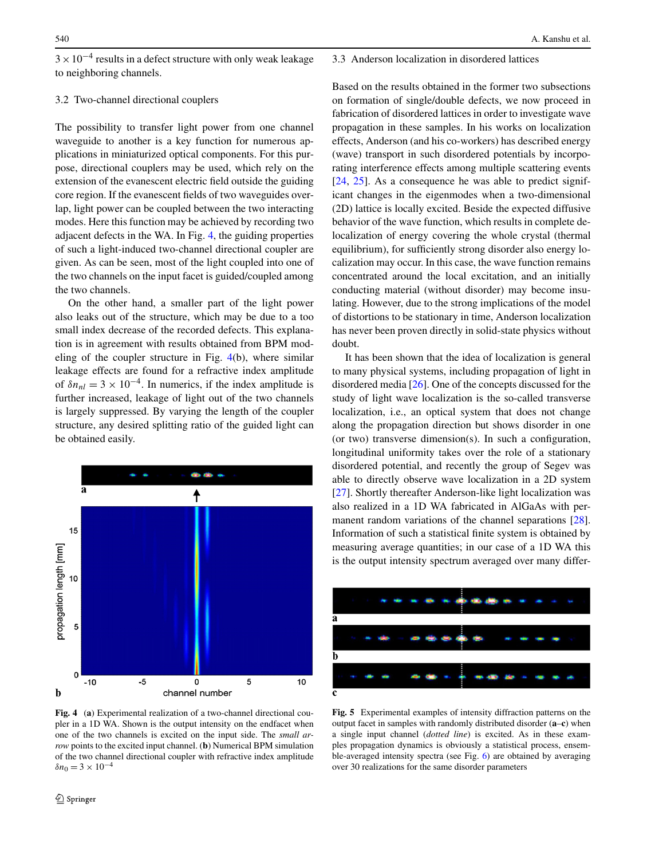<span id="page-3-0"></span> $3 \times 10^{-4}$  results in a defect structure with only weak leakage to neighboring channels.

### 3.2 Two-channel directional couplers

The possibility to transfer light power from one channel waveguide to another is a key function for numerous applications in miniaturized optical components. For this purpose, directional couplers may be used, which rely on the extension of the evanescent electric field outside the guiding core region. If the evanescent fields of two waveguides overlap, light power can be coupled between the two interacting modes. Here this function may be achieved by recording two adjacent defects in the WA. In Fig. 4, the guiding properties of such a light-induced two-channel directional coupler are given. As can be seen, most of the light coupled into one of the two channels on the input facet is guided/coupled among the two channels.

On the other hand, a smaller part of the light power also leaks out of the structure, which may be due to a too small index decrease of the recorded defects. This explanation is in agreement with results obtained from BPM modeling of the coupler structure in Fig. 4(b), where similar leakage effects are found for a refractive index amplitude of  $\delta n_{nl} = 3 \times 10^{-4}$ . In numerics, if the index amplitude is further increased, leakage of light out of the two channels is largely suppressed. By varying the length of the coupler structure, any desired splitting ratio of the guided light can be obtained easily.



**Fig. 4** (**a**) Experimental realization of a two-channel directional coupler in a 1D WA. Shown is the output intensity on the endfacet when one of the two channels is excited on the input side. The *small arrow* points to the excited input channel. (**b**) Numerical BPM simulation of the two channel directional coupler with refractive index amplitude  $δn_0 = 3 \times 10^{-4}$ 

#### 3.3 Anderson localization in disordered lattices

Based on the results obtained in the former two subsections on formation of single/double defects, we now proceed in fabrication of disordered lattices in order to investigate wave propagation in these samples. In his works on localization effects, Anderson (and his co-workers) has described energy (wave) transport in such disordered potentials by incorporating interference effects among multiple scattering events [\[24](#page-6-0), [25](#page-6-0)]. As a consequence he was able to predict significant changes in the eigenmodes when a two-dimensional (2D) lattice is locally excited. Beside the expected diffusive behavior of the wave function, which results in complete delocalization of energy covering the whole crystal (thermal equilibrium), for sufficiently strong disorder also energy localization may occur. In this case, the wave function remains concentrated around the local excitation, and an initially conducting material (without disorder) may become insulating. However, due to the strong implications of the model of distortions to be stationary in time, Anderson localization has never been proven directly in solid-state physics without doubt.

It has been shown that the idea of localization is general to many physical systems, including propagation of light in disordered media [[26\]](#page-6-0). One of the concepts discussed for the study of light wave localization is the so-called transverse localization, i.e., an optical system that does not change along the propagation direction but shows disorder in one (or two) transverse dimension(s). In such a configuration, longitudinal uniformity takes over the role of a stationary disordered potential, and recently the group of Segev was able to directly observe wave localization in a 2D system [\[27](#page-6-0)]. Shortly thereafter Anderson-like light localization was also realized in a 1D WA fabricated in AlGaAs with permanent random variations of the channel separations [\[28](#page-6-0)]. Information of such a statistical finite system is obtained by measuring average quantities; in our case of a 1D WA this is the output intensity spectrum averaged over many differ-



**Fig. 5** Experimental examples of intensity diffraction patterns on the output facet in samples with randomly distributed disorder (**a**–**c**) when a single input channel (*dotted line*) is excited. As in these examples propagation dynamics is obviously a statistical process, ensemble-averaged intensity spectra (see Fig. [6](#page-4-0)) are obtained by averaging over 30 realizations for the same disorder parameters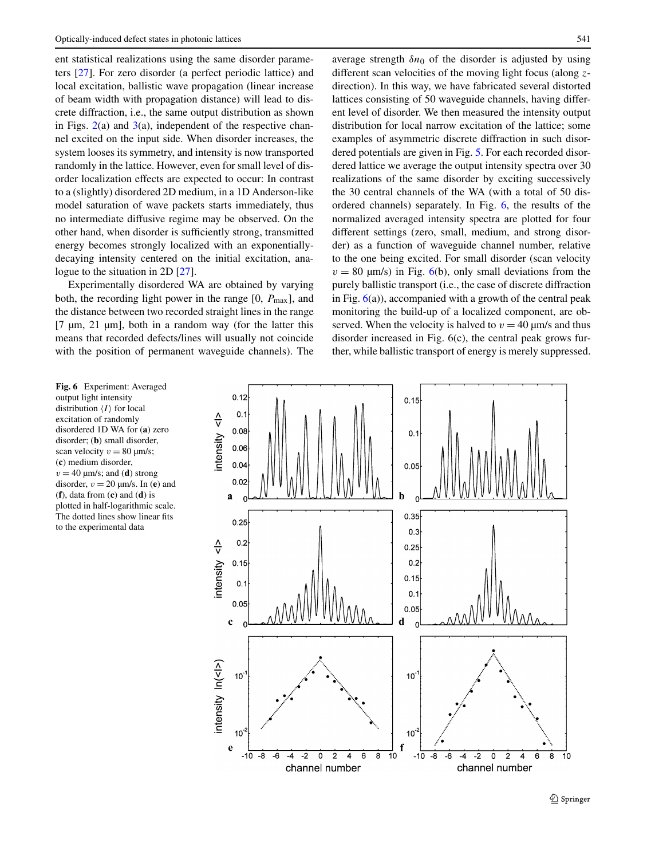<span id="page-4-0"></span>ent statistical realizations using the same disorder parameters [[27\]](#page-6-0). For zero disorder (a perfect periodic lattice) and local excitation, ballistic wave propagation (linear increase of beam width with propagation distance) will lead to discrete diffraction, i.e., the same output distribution as shown in Figs.  $2(a)$  $2(a)$  and  $3(a)$  $3(a)$ , independent of the respective channel excited on the input side. When disorder increases, the system looses its symmetry, and intensity is now transported randomly in the lattice. However, even for small level of disorder localization effects are expected to occur: In contrast to a (slightly) disordered 2D medium, in a 1D Anderson-like model saturation of wave packets starts immediately, thus no intermediate diffusive regime may be observed. On the other hand, when disorder is sufficiently strong, transmitted energy becomes strongly localized with an exponentiallydecaying intensity centered on the initial excitation, analogue to the situation in 2D [\[27](#page-6-0)].

Experimentally disordered WA are obtained by varying both, the recording light power in the range [0,  $P_{\text{max}}$ ], and the distance between two recorded straight lines in the range [7 µm, 21 µm], both in a random way (for the latter this means that recorded defects/lines will usually not coincide with the position of permanent waveguide channels). The

average strength  $\delta n_0$  of the disorder is adjusted by using different scan velocities of the moving light focus (along *z*direction). In this way, we have fabricated several distorted lattices consisting of 50 waveguide channels, having different level of disorder. We then measured the intensity output distribution for local narrow excitation of the lattice; some examples of asymmetric discrete diffraction in such disordered potentials are given in Fig. [5.](#page-3-0) For each recorded disordered lattice we average the output intensity spectra over 30 realizations of the same disorder by exciting successively the 30 central channels of the WA (with a total of 50 disordered channels) separately. In Fig. 6, the results of the normalized averaged intensity spectra are plotted for four different settings (zero, small, medium, and strong disorder) as a function of waveguide channel number, relative to the one being excited. For small disorder (scan velocity  $v = 80$  µm/s) in Fig.  $6(b)$ , only small deviations from the purely ballistic transport (i.e., the case of discrete diffraction in Fig.  $6(a)$ ), accompanied with a growth of the central peak monitoring the build-up of a localized component, are observed. When the velocity is halved to  $v = 40 \text{ µm/s}$  and thus disorder increased in Fig. 6(c), the central peak grows further, while ballistic transport of energy is merely suppressed.

**Fig. 6** Experiment: Averaged output light intensity distribution  $\langle I \rangle$  for local excitation of randomly disordered 1D WA for (**a**) zero disorder; (**b**) small disorder, scan velocity  $v = 80 \text{ }\mu\text{m/s}$ ; (**c**) medium disorder,  $v = 40 \text{ }\mu\text{m/s}$ ; and (**d**) strong disorder,  $v = 20 \text{ µm/s}$ . In (**e**) and (**f**), data from (**c**) and (**d**) is plotted in half-logarithmic scale. The dotted lines show linear fits to the experimental data

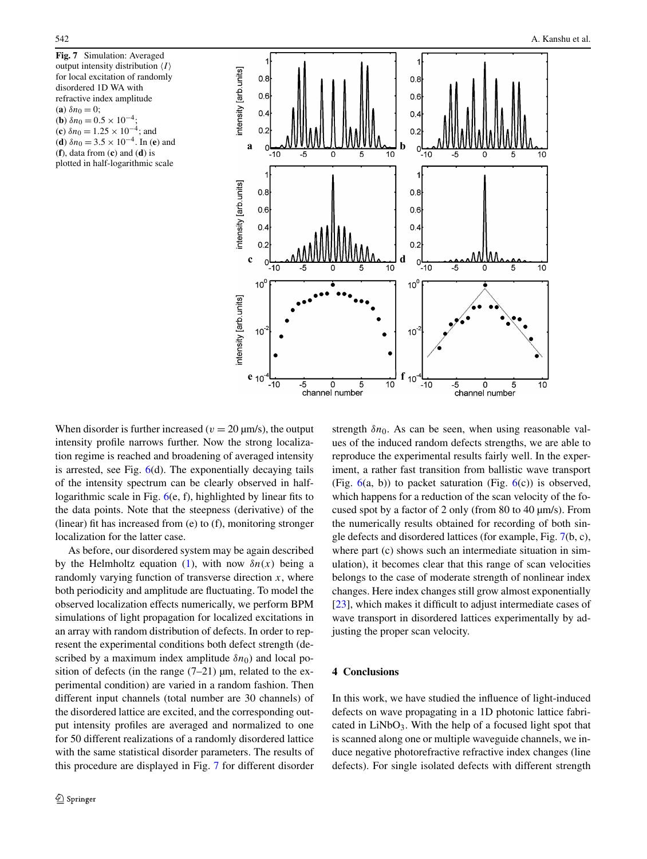**Fig. 7** Simulation: Averaged output intensity distribution *I* for local excitation of randomly disordered 1D WA with refractive index amplitude (**a**)  $\delta n_0 = 0$ ; (**b**)  $\delta n_0 = 0.5 \times 10^{-4}$ ; (**c**)  $δn_0 = 1.25 \times 10^{-4}$ ; and (**d**) *δn*<sup>0</sup> = 3*.*5 × 10<sup>−</sup>4. In (**e**) and (**f**), data from (**c**) and (**d**) is plotted in half-logarithmic scale

![](_page_5_Figure_3.jpeg)

When disorder is further increased ( $v = 20 \text{ µm/s}$ ), the output intensity profile narrows further. Now the strong localization regime is reached and broadening of averaged intensity is arrested, see Fig.  $6(d)$  $6(d)$ . The exponentially decaying tails of the intensity spectrum can be clearly observed in halflogarithmic scale in Fig. [6\(](#page-4-0)e, f), highlighted by linear fits to the data points. Note that the steepness (derivative) of the (linear) fit has increased from (e) to (f), monitoring stronger localization for the latter case.

As before, our disordered system may be again described by the Helmholtz equation ([1\)](#page-1-0), with now  $\delta n(x)$  being a randomly varying function of transverse direction  $x$ , where both periodicity and amplitude are fluctuating. To model the observed localization effects numerically, we perform BPM simulations of light propagation for localized excitations in an array with random distribution of defects. In order to represent the experimental conditions both defect strength (described by a maximum index amplitude  $\delta n_0$ ) and local position of defects (in the range  $(7-21)$  µm, related to the experimental condition) are varied in a random fashion. Then different input channels (total number are 30 channels) of the disordered lattice are excited, and the corresponding output intensity profiles are averaged and normalized to one for 50 different realizations of a randomly disordered lattice with the same statistical disorder parameters. The results of this procedure are displayed in Fig. 7 for different disorder

strength  $\delta n_0$ . As can be seen, when using reasonable values of the induced random defects strengths, we are able to reproduce the experimental results fairly well. In the experiment, a rather fast transition from ballistic wave transport (Fig.  $6(a, b)$  $6(a, b)$ ) to packet saturation (Fig.  $6(c)$ ) is observed, which happens for a reduction of the scan velocity of the focused spot by a factor of 2 only (from 80 to 40 µm/s). From the numerically results obtained for recording of both single defects and disordered lattices (for example, Fig. 7(b, c), where part (c) shows such an intermediate situation in simulation), it becomes clear that this range of scan velocities belongs to the case of moderate strength of nonlinear index changes. Here index changes still grow almost exponentially [\[23](#page-6-0)], which makes it difficult to adjust intermediate cases of wave transport in disordered lattices experimentally by adjusting the proper scan velocity.

## **4 Conclusions**

In this work, we have studied the influence of light-induced defects on wave propagating in a 1D photonic lattice fabricated in  $LiNbO<sub>3</sub>$ . With the help of a focused light spot that is scanned along one or multiple waveguide channels, we induce negative photorefractive refractive index changes (line defects). For single isolated defects with different strength